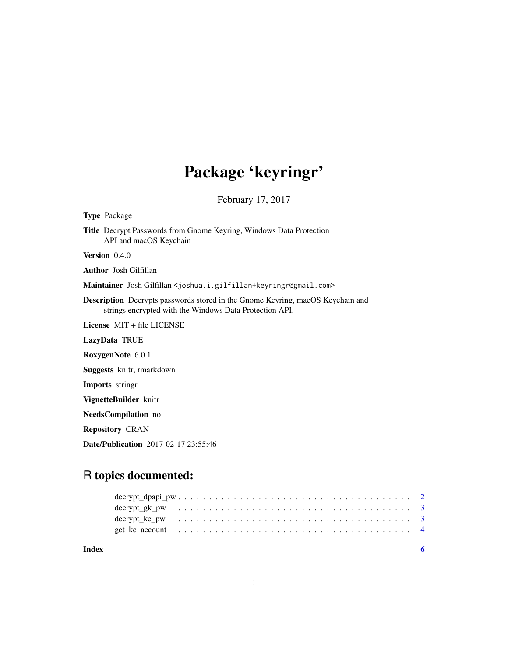## Package 'keyringr'

February 17, 2017

Type Package

Title Decrypt Passwords from Gnome Keyring, Windows Data Protection API and macOS Keychain

Version 0.4.0

Author Josh Gilfillan

Maintainer Josh Gilfillan <joshua.i.gilfillan+keyringr@gmail.com>

Description Decrypts passwords stored in the Gnome Keyring, macOS Keychain and strings encrypted with the Windows Data Protection API.

License MIT + file LICENSE

LazyData TRUE

RoxygenNote 6.0.1

Suggests knitr, rmarkdown

Imports stringr

VignetteBuilder knitr

NeedsCompilation no

Repository CRAN

Date/Publication 2017-02-17 23:55:46

### R topics documented:

**Index** [6](#page-5-0) **6**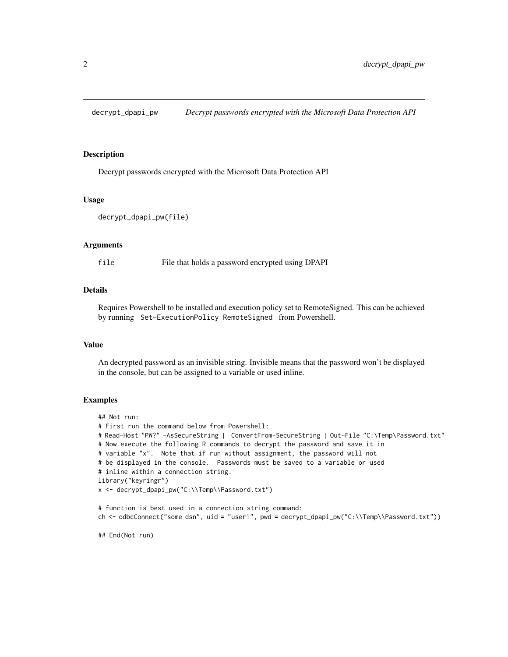<span id="page-1-0"></span>

#### Description

Decrypt passwords encrypted with the Microsoft Data Protection API

#### Usage

```
decrypt_dpapi_pw(file)
```
#### Arguments

file File that holds a password encrypted using DPAPI

#### **Details**

Requires Powershell to be installed and execution policy set to RemoteSigned. This can be achieved by running Set-ExecutionPolicy RemoteSigned from Powershell.

#### Value

An decrypted password as an invisible string. Invisible means that the password won't be displayed in the console, but can be assigned to a variable or used inline.

#### Examples

```
## Not run:
# First run the command below from Powershell:
# Read-Host "PW?" -AsSecureString | ConvertFrom-SecureString | Out-File "C:\Temp\Password.txt"
# Now execute the following R commands to decrypt the password and save it in
# variable "x". Note that if run without assignment, the password will not
# be displayed in the console. Passwords must be saved to a variable or used
# inline within a connection string.
library("keyringr")
x <- decrypt_dpapi_pw("C:\\Temp\\Password.txt")
# function is best used in a connection string command:
ch <- odbcConnect("some dsn", uid = "user1", pwd = decrypt_dpapi_pw("C:\\Temp\\Password.txt"))
```
## End(Not run)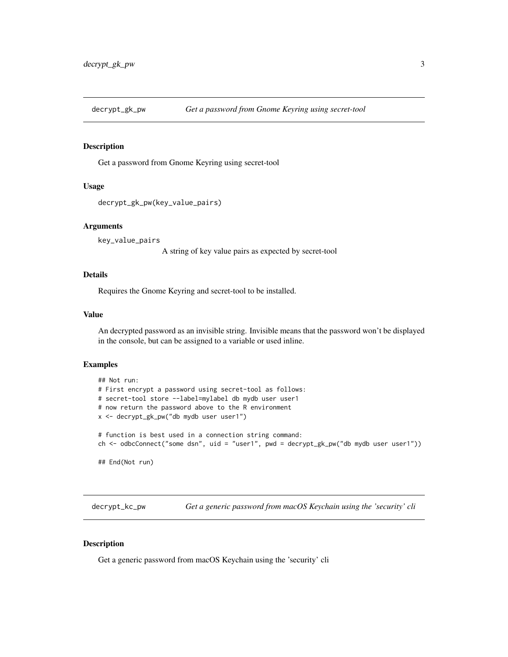<span id="page-2-0"></span>

#### Description

Get a password from Gnome Keyring using secret-tool

#### Usage

```
decrypt_gk_pw(key_value_pairs)
```
#### Arguments

key\_value\_pairs

A string of key value pairs as expected by secret-tool

#### Details

Requires the Gnome Keyring and secret-tool to be installed.

#### Value

An decrypted password as an invisible string. Invisible means that the password won't be displayed in the console, but can be assigned to a variable or used inline.

#### Examples

```
## Not run:
# First encrypt a password using secret-tool as follows:
# secret-tool store --label=mylabel db mydb user user1
# now return the password above to the R environment
x <- decrypt_gk_pw("db mydb user user1")
# function is best used in a connection string command:
ch <- odbcConnect("some dsn", uid = "user1", pwd = decrypt_gk_pw("db mydb user user1"))
## End(Not run)
```
decrypt\_kc\_pw *Get a generic password from macOS Keychain using the 'security' cli*

#### Description

Get a generic password from macOS Keychain using the 'security' cli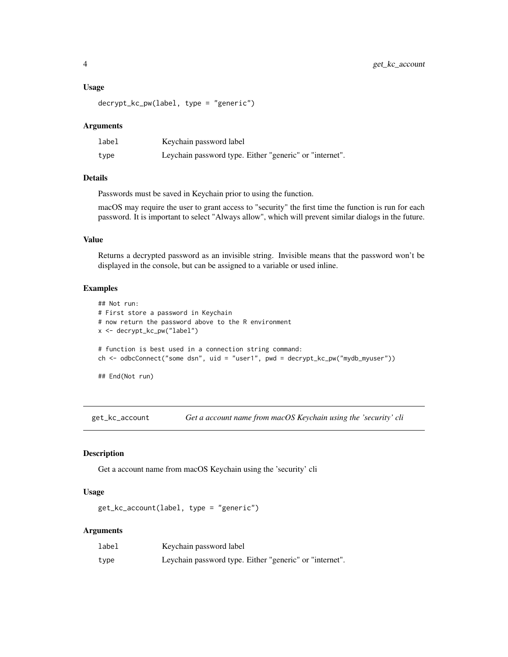#### <span id="page-3-0"></span>Usage

decrypt\_kc\_pw(label, type = "generic")

#### **Arguments**

| label | Keychain password label                                 |
|-------|---------------------------------------------------------|
| type  | Leychain password type. Either "generic" or "internet". |

#### Details

Passwords must be saved in Keychain prior to using the function.

macOS may require the user to grant access to "security" the first time the function is run for each password. It is important to select "Always allow", which will prevent similar dialogs in the future.

#### Value

Returns a decrypted password as an invisible string. Invisible means that the password won't be displayed in the console, but can be assigned to a variable or used inline.

#### Examples

```
## Not run:
# First store a password in Keychain
# now return the password above to the R environment
x <- decrypt_kc_pw("label")
# function is best used in a connection string command:
ch <- odbcConnect("some dsn", uid = "user1", pwd = decrypt_kc_pw("mydb_myuser"))
## End(Not run)
```
get\_kc\_account *Get a account name from macOS Keychain using the 'security' cli*

#### Description

Get a account name from macOS Keychain using the 'security' cli

#### Usage

```
get_kc_account(label, type = "generic")
```
#### Arguments

| label | Keychain password label                                 |
|-------|---------------------------------------------------------|
| type  | Leychain password type. Either "generic" or "internet". |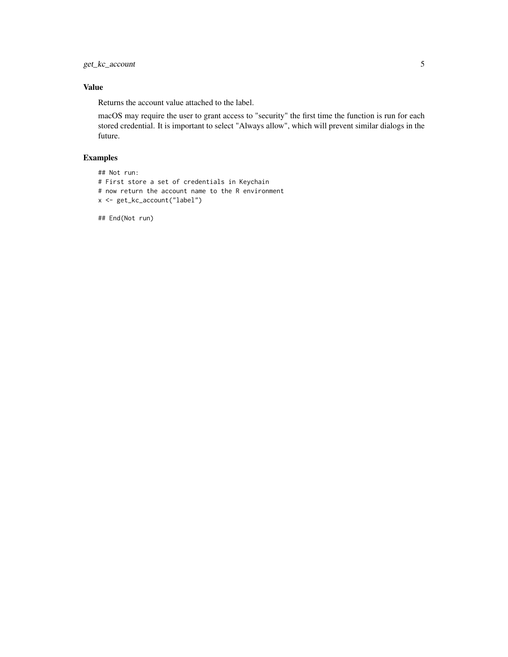get\_kc\_account 5

#### Value

Returns the account value attached to the label.

macOS may require the user to grant access to "security" the first time the function is run for each stored credential. It is important to select "Always allow", which will prevent similar dialogs in the future.

#### Examples

```
## Not run:
# First store a set of credentials in Keychain
# now return the account name to the R environment
x <- get_kc_account("label")
```
## End(Not run)